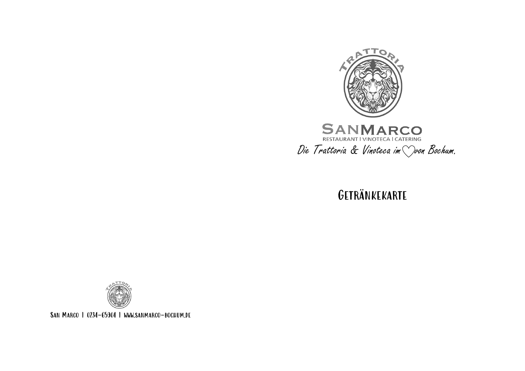

Getränkekarte



San Marco | 0234-65904 | www.sanmarco-bochum.de